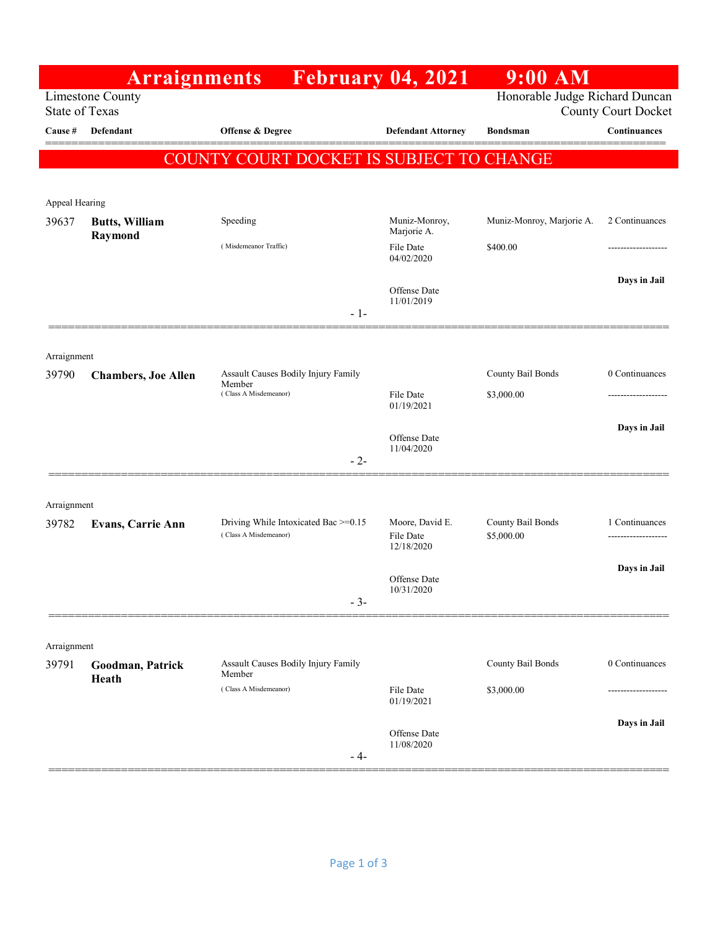|                                           | <b>Arraignments</b>              |                                                               | February 04, 2021                                            | $9:00$ AM                       |                  |
|-------------------------------------------|----------------------------------|---------------------------------------------------------------|--------------------------------------------------------------|---------------------------------|------------------|
| Limestone County<br><b>State of Texas</b> |                                  |                                                               | Honorable Judge Richard Duncan<br><b>County Court Docket</b> |                                 |                  |
| Cause #                                   | Defendant                        | Offense & Degree                                              | <b>Defendant Attorney</b>                                    | Bondsman                        | Continuances     |
|                                           |                                  | COUNTY COURT DOCKET IS SUBJECT TO CHANGE                      |                                                              |                                 |                  |
|                                           |                                  |                                                               |                                                              |                                 |                  |
| Appeal Hearing                            |                                  |                                                               |                                                              |                                 |                  |
| 39637                                     | <b>Butts, William</b><br>Raymond | Speeding                                                      | Muniz-Monroy,<br>Marjorie A.                                 | Muniz-Monroy, Marjorie A.       | 2 Continuances   |
|                                           |                                  | (Misdemeanor Traffic)                                         | File Date<br>04/02/2020                                      | \$400.00                        | ---------------- |
|                                           |                                  |                                                               | Offense Date<br>11/01/2019                                   |                                 | Days in Jail     |
|                                           |                                  | $-1-$                                                         |                                                              |                                 |                  |
| Arraignment                               |                                  |                                                               |                                                              |                                 |                  |
| 39790                                     | <b>Chambers, Joe Allen</b>       | Assault Causes Bodily Injury Family<br>Member                 |                                                              | County Bail Bonds               | 0 Continuances   |
|                                           |                                  | (Class A Misdemeanor)                                         | File Date<br>01/19/2021                                      | \$3,000.00                      |                  |
|                                           |                                  |                                                               | Offense Date<br>11/04/2020                                   |                                 | Days in Jail     |
|                                           |                                  | $-2-$                                                         |                                                              |                                 |                  |
| Arraignment                               |                                  |                                                               |                                                              |                                 |                  |
| 39782                                     | Evans, Carrie Ann                | Driving While Intoxicated Bac >=0.15<br>(Class A Misdemeanor) | Moore, David E.<br>File Date<br>12/18/2020                   | County Bail Bonds<br>\$5,000.00 | 1 Continuances   |
|                                           |                                  |                                                               |                                                              |                                 | Days in Jail     |
|                                           |                                  |                                                               | Offense Date<br>10/31/2020                                   |                                 |                  |
|                                           |                                  | $-3-$                                                         |                                                              |                                 |                  |
| Arraignment                               |                                  |                                                               |                                                              |                                 |                  |
| 39791                                     | Goodman, Patrick                 | Assault Causes Bodily Injury Family<br>Member                 |                                                              | County Bail Bonds               | 0 Continuances   |
|                                           | Heath                            | (Class A Misdemeanor)                                         | File Date<br>01/19/2021                                      | \$3,000.00                      | ------------     |
|                                           |                                  |                                                               |                                                              |                                 | Days in Jail     |
|                                           |                                  | - 4-                                                          | Offense Date<br>11/08/2020                                   |                                 |                  |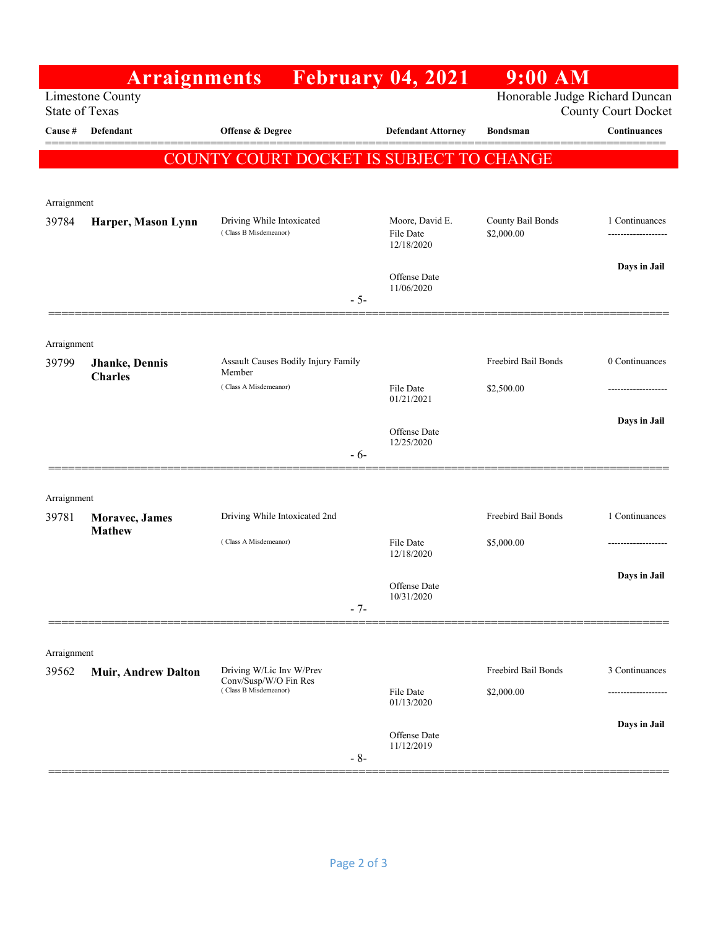|                                                  | <b>Arraignments</b>              |                                                                            |       | <b>February 04, 2021</b>                   | $9:00$ AM                                                    |                                      |
|--------------------------------------------------|----------------------------------|----------------------------------------------------------------------------|-------|--------------------------------------------|--------------------------------------------------------------|--------------------------------------|
| <b>Limestone County</b><br><b>State of Texas</b> |                                  |                                                                            |       |                                            | Honorable Judge Richard Duncan<br><b>County Court Docket</b> |                                      |
| Cause #                                          | Defendant                        | Offense & Degree                                                           |       | <b>Defendant Attorney</b>                  | <b>Bondsman</b>                                              | Continuances                         |
|                                                  |                                  | COUNTY COURT DOCKET IS SUBJECT TO CHANGE                                   |       |                                            |                                                              |                                      |
|                                                  |                                  |                                                                            |       |                                            |                                                              |                                      |
| Arraignment                                      |                                  |                                                                            |       |                                            |                                                              |                                      |
| 39784                                            | Harper, Mason Lynn               | Driving While Intoxicated<br>(Class B Misdemeanor)                         |       | Moore, David E.<br>File Date<br>12/18/2020 | County Bail Bonds<br>\$2,000.00                              | 1 Continuances<br>------------------ |
|                                                  |                                  |                                                                            |       | Offense Date                               |                                                              | Days in Jail                         |
|                                                  |                                  |                                                                            | $-5-$ | 11/06/2020                                 |                                                              |                                      |
|                                                  |                                  |                                                                            |       |                                            |                                                              |                                      |
| Arraignment                                      |                                  | Assault Causes Bodily Injury Family                                        |       |                                            | Freebird Bail Bonds                                          | 0 Continuances                       |
| 39799                                            | Jhanke, Dennis<br><b>Charles</b> | Member                                                                     |       |                                            |                                                              |                                      |
|                                                  |                                  | (Class A Misdemeanor)                                                      |       | File Date<br>01/21/2021                    | \$2,500.00                                                   |                                      |
|                                                  |                                  |                                                                            |       |                                            |                                                              | Days in Jail                         |
|                                                  |                                  |                                                                            |       | Offense Date<br>12/25/2020                 |                                                              |                                      |
|                                                  |                                  |                                                                            | $-6-$ |                                            |                                                              |                                      |
| Arraignment                                      |                                  |                                                                            |       |                                            |                                                              |                                      |
| 39781                                            | Moravec, James                   | Driving While Intoxicated 2nd                                              |       |                                            | Freebird Bail Bonds                                          | 1 Continuances                       |
|                                                  | <b>Mathew</b>                    | (Class A Misdemeanor)                                                      |       | File Date<br>12/18/2020                    | \$5,000.00                                                   |                                      |
|                                                  |                                  |                                                                            |       | Offense Date                               |                                                              | Days in Jail                         |
|                                                  |                                  |                                                                            | $-7-$ | 10/31/2020                                 |                                                              |                                      |
|                                                  |                                  |                                                                            |       |                                            |                                                              |                                      |
| Arraignment                                      |                                  |                                                                            |       |                                            |                                                              |                                      |
| 39562                                            | <b>Muir, Andrew Dalton</b>       | Driving W/Lic Inv W/Prev<br>Conv/Susp/W/O Fin Res<br>(Class B Misdemeanor) |       |                                            | Freebird Bail Bonds                                          | 3 Continuances                       |
|                                                  |                                  |                                                                            |       | File Date<br>01/13/2020                    | \$2,000.00                                                   |                                      |
|                                                  |                                  |                                                                            |       | Offense Date<br>11/12/2019                 |                                                              | Days in Jail                         |
|                                                  |                                  |                                                                            | $-8-$ |                                            |                                                              |                                      |